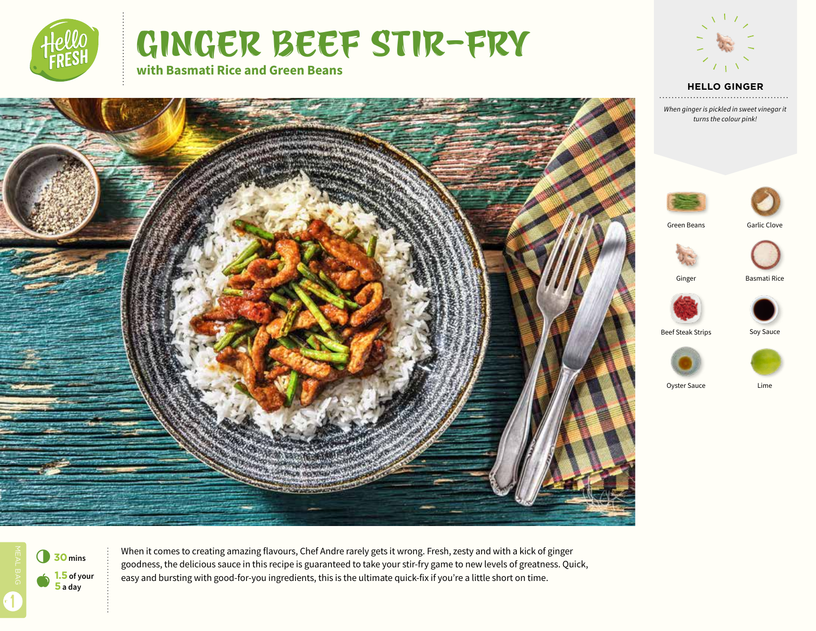

# GINGER BEEF STIR-FRY

**with Basmati Rice and Green Beans**



**HELLO GINGER**

*When ginger is pickled in sweet vinegar it turns the colour pink!*





Green Beans





Ginger Basmati Ric





6**<sup>30</sup>mins** a **1.5 of your 5 a day**

1

When it comes to creating amazing flavours, Chef Andre rarely gets it wrong. Fresh, zesty and with a kick of ginger goodness, the delicious sauce in this recipe is guaranteed to take your stir-fry game to new levels of greatness. Quick, easy and bursting with good-for-you ingredients, this is the ultimate quick-fix if you're a little short on time.

Beef Steak Strips Soy Sauce